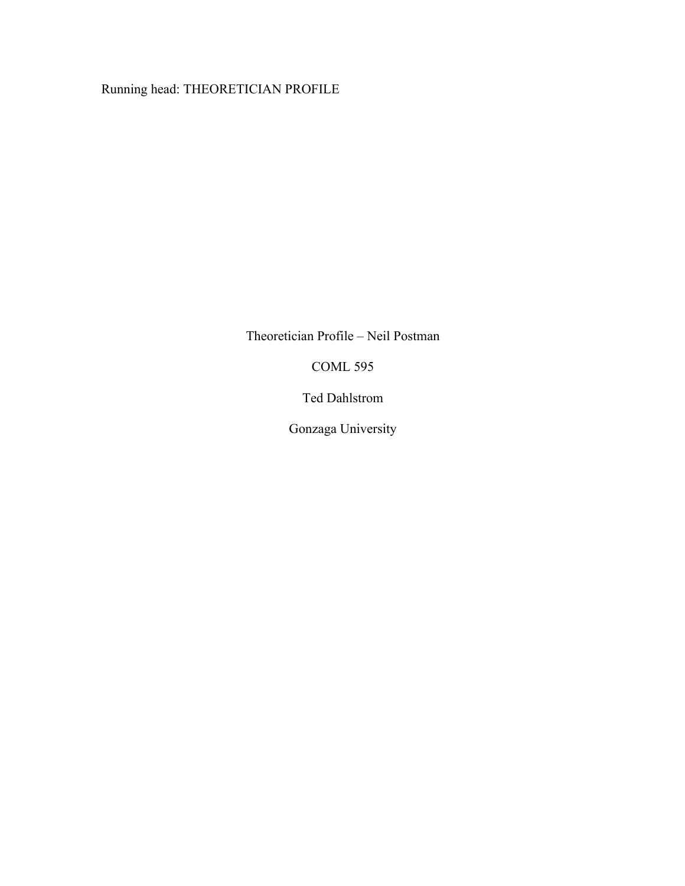Running head: THEORETICIAN PROFILE

Theoretician Profile – Neil Postman

COML 595

Ted Dahlstrom

Gonzaga University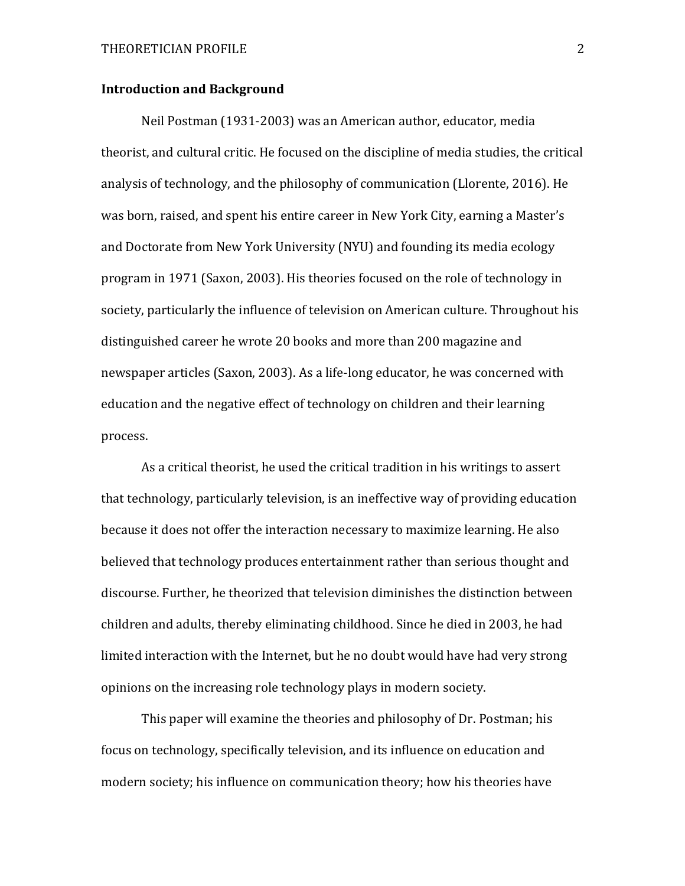## **Introduction and Background**

Neil Postman (1931-2003) was an American author, educator, media theorist, and cultural critic. He focused on the discipline of media studies, the critical analysis of technology, and the philosophy of communication (Llorente, 2016). He was born, raised, and spent his entire career in New York City, earning a Master's and Doctorate from New York University (NYU) and founding its media ecology program in 1971 (Saxon, 2003). His theories focused on the role of technology in society, particularly the influence of television on American culture. Throughout his distinguished career he wrote 20 books and more than 200 magazine and newspaper articles (Saxon, 2003). As a life-long educator, he was concerned with education and the negative effect of technology on children and their learning process. 

As a critical theorist, he used the critical tradition in his writings to assert that technology, particularly television, is an ineffective way of providing education because it does not offer the interaction necessary to maximize learning. He also believed that technology produces entertainment rather than serious thought and discourse. Further, he theorized that television diminishes the distinction between children and adults, thereby eliminating childhood. Since he died in 2003, he had limited interaction with the Internet, but he no doubt would have had very strong opinions on the increasing role technology plays in modern society.

This paper will examine the theories and philosophy of Dr. Postman; his focus on technology, specifically television, and its influence on education and modern society; his influence on communication theory; how his theories have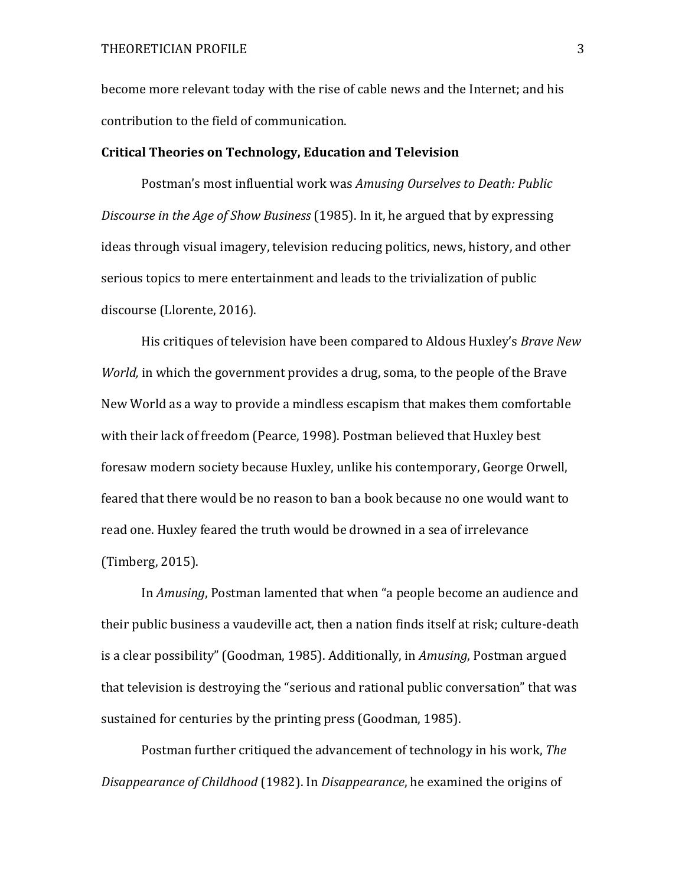become more relevant today with the rise of cable news and the Internet; and his contribution to the field of communication.

#### **Critical Theories on Technology, Education and Television**

Postman's most influential work was *Amusing Ourselves to Death: Public Discourse in the Age of Show Business* (1985). In it, he argued that by expressing ideas through visual imagery, television reducing politics, news, history, and other serious topics to mere entertainment and leads to the trivialization of public discourse (Llorente, 2016).

His critiques of television have been compared to Aldous Huxley's *Brave New World*, in which the government provides a drug, soma, to the people of the Brave New World as a way to provide a mindless escapism that makes them comfortable with their lack of freedom (Pearce, 1998). Postman believed that Huxley best foresaw modern society because Huxley, unlike his contemporary, George Orwell, feared that there would be no reason to ban a book because no one would want to read one. Huxley feared the truth would be drowned in a sea of irrelevance (Timberg, 2015).

In *Amusing*, Postman lamented that when "a people become an audience and their public business a vaudeville act, then a nation finds itself at risk; culture-death is a clear possibility" (Goodman, 1985). Additionally, in *Amusing*, Postman argued that television is destroying the "serious and rational public conversation" that was sustained for centuries by the printing press (Goodman, 1985).

Postman further critiqued the advancement of technology in his work, *The Disappearance of Childhood* (1982). In *Disappearance*, he examined the origins of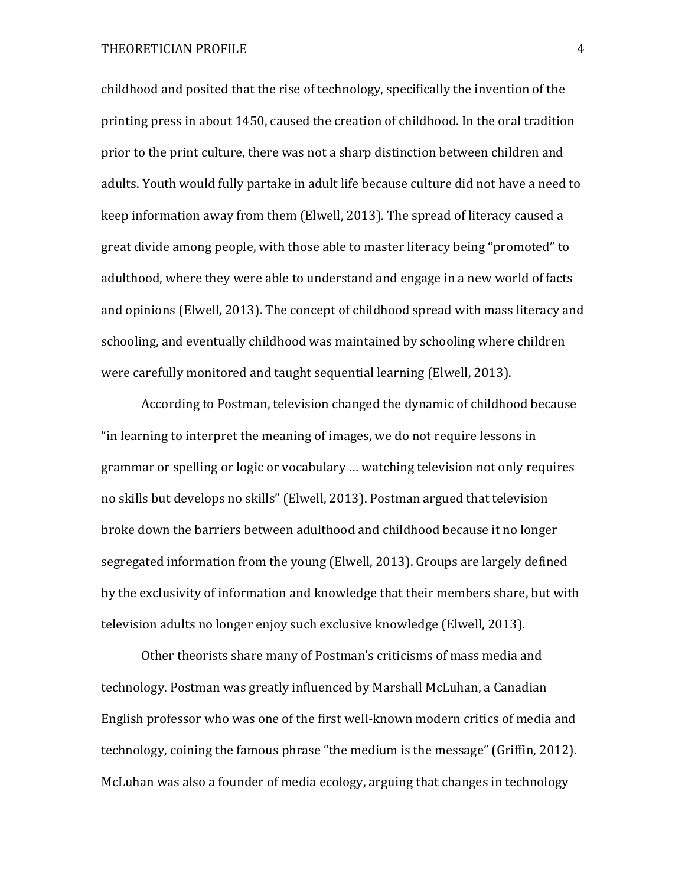### THEORETICIAN PROFILE 4

childhood and posited that the rise of technology, specifically the invention of the printing press in about 1450, caused the creation of childhood. In the oral tradition prior to the print culture, there was not a sharp distinction between children and adults. Youth would fully partake in adult life because culture did not have a need to keep information away from them (Elwell, 2013). The spread of literacy caused a great divide among people, with those able to master literacy being "promoted" to adulthood, where they were able to understand and engage in a new world of facts and opinions (Elwell, 2013). The concept of childhood spread with mass literacy and schooling, and eventually childhood was maintained by schooling where children were carefully monitored and taught sequential learning (Elwell, 2013).

According to Postman, television changed the dynamic of childhood because "in learning to interpret the meaning of images, we do not require lessons in grammar or spelling or logic or vocabulary ... watching television not only requires no skills but develops no skills" (Elwell, 2013). Postman argued that television broke down the barriers between adulthood and childhood because it no longer segregated information from the young (Elwell, 2013). Groups are largely defined by the exclusivity of information and knowledge that their members share, but with television adults no longer enjoy such exclusive knowledge (Elwell, 2013).

Other theorists share many of Postman's criticisms of mass media and technology. Postman was greatly influenced by Marshall McLuhan, a Canadian English professor who was one of the first well-known modern critics of media and technology, coining the famous phrase "the medium is the message" (Griffin, 2012). McLuhan was also a founder of media ecology, arguing that changes in technology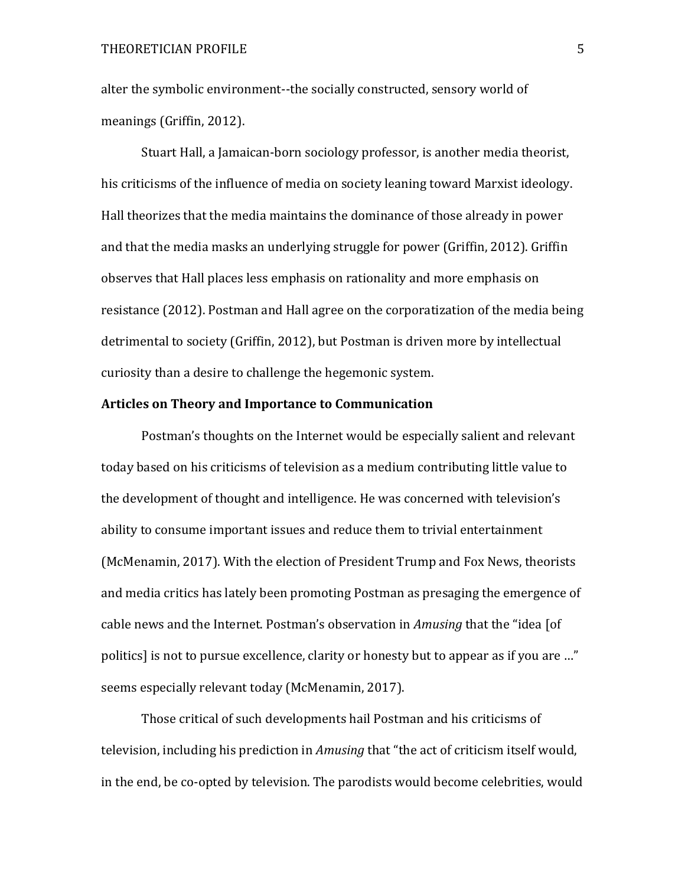alter the symbolic environment--the socially constructed, sensory world of meanings (Griffin, 2012).

Stuart Hall, a Jamaican-born sociology professor, is another media theorist, his criticisms of the influence of media on society leaning toward Marxist ideology. Hall theorizes that the media maintains the dominance of those already in power and that the media masks an underlying struggle for power (Griffin, 2012). Griffin observes that Hall places less emphasis on rationality and more emphasis on resistance (2012). Postman and Hall agree on the corporatization of the media being detrimental to society (Griffin, 2012), but Postman is driven more by intellectual curiosity than a desire to challenge the hegemonic system.

### **Articles on Theory and Importance to Communication**

Postman's thoughts on the Internet would be especially salient and relevant today based on his criticisms of television as a medium contributing little value to the development of thought and intelligence. He was concerned with television's ability to consume important issues and reduce them to trivial entertainment (McMenamin, 2017). With the election of President Trump and Fox News, theorists and media critics has lately been promoting Postman as presaging the emergence of cable news and the Internet. Postman's observation in *Amusing* that the "idea [of politics] is not to pursue excellence, clarity or honesty but to appear as if you are ..." seems especially relevant today (McMenamin, 2017).

Those critical of such developments hail Postman and his criticisms of television, including his prediction in *Amusing* that "the act of criticism itself would, in the end, be co-opted by television. The parodists would become celebrities, would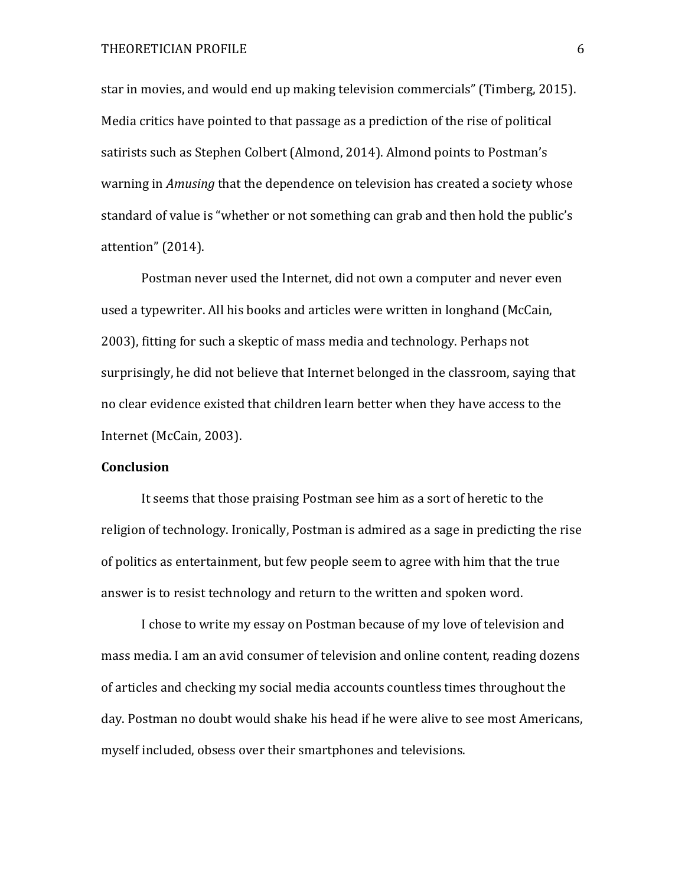### THEORETICIAN PROFILE 6

star in movies, and would end up making television commercials" (Timberg, 2015). Media critics have pointed to that passage as a prediction of the rise of political satirists such as Stephen Colbert (Almond, 2014). Almond points to Postman's warning in *Amusing* that the dependence on television has created a society whose standard of value is "whether or not something can grab and then hold the public's attention" (2014).

Postman never used the Internet, did not own a computer and never even used a typewriter. All his books and articles were written in longhand (McCain, 2003), fitting for such a skeptic of mass media and technology. Perhaps not surprisingly, he did not believe that Internet belonged in the classroom, saying that no clear evidence existed that children learn better when they have access to the Internet (McCain, 2003).

# **Conclusion**

It seems that those praising Postman see him as a sort of heretic to the religion of technology. Ironically, Postman is admired as a sage in predicting the rise of politics as entertainment, but few people seem to agree with him that the true answer is to resist technology and return to the written and spoken word.

I chose to write my essay on Postman because of my love of television and mass media. I am an avid consumer of television and online content, reading dozens of articles and checking my social media accounts countless times throughout the day. Postman no doubt would shake his head if he were alive to see most Americans, myself included, obsess over their smartphones and televisions.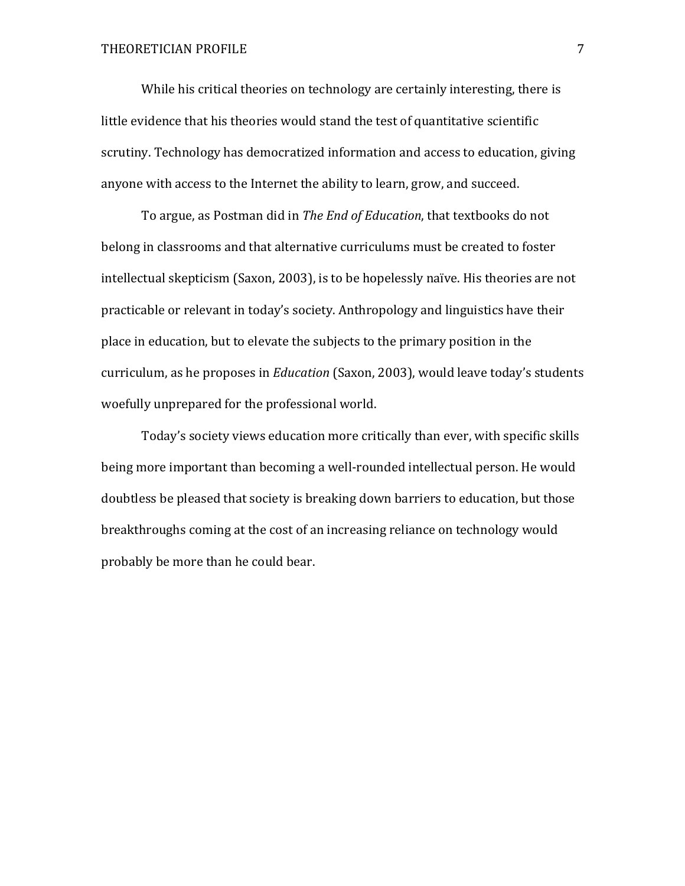While his critical theories on technology are certainly interesting, there is little evidence that his theories would stand the test of quantitative scientific scrutiny. Technology has democratized information and access to education, giving anyone with access to the Internet the ability to learn, grow, and succeed.

To argue, as Postman did in *The End of Education*, that textbooks do not belong in classrooms and that alternative curriculums must be created to foster intellectual skepticism (Saxon, 2003), is to be hopelessly naïve. His theories are not practicable or relevant in today's society. Anthropology and linguistics have their place in education, but to elevate the subjects to the primary position in the curriculum, as he proposes in *Education* (Saxon, 2003), would leave today's students woefully unprepared for the professional world.

Today's society views education more critically than ever, with specific skills being more important than becoming a well-rounded intellectual person. He would doubtless be pleased that society is breaking down barriers to education, but those breakthroughs coming at the cost of an increasing reliance on technology would probably be more than he could bear.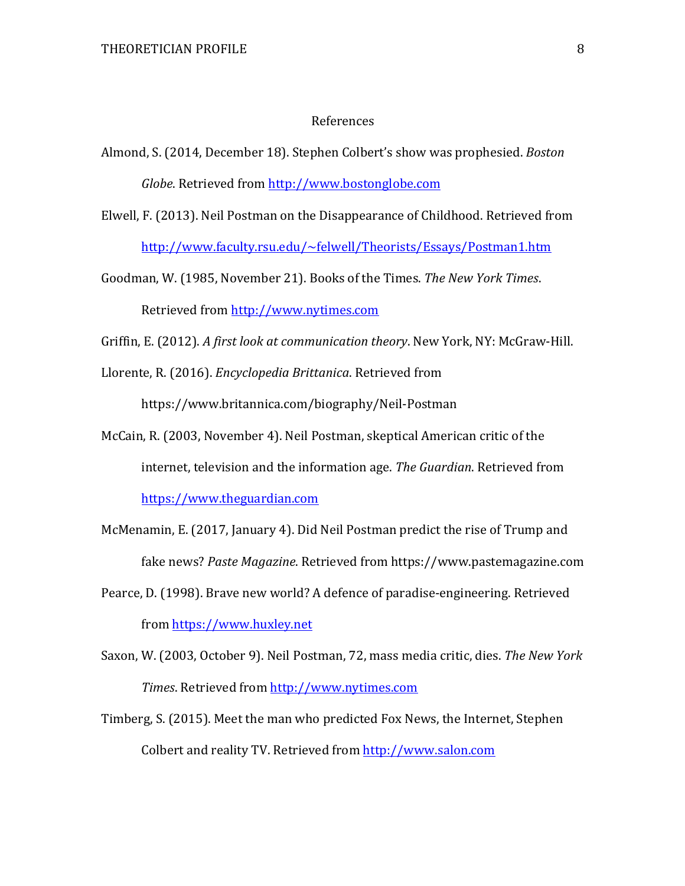#### References

- Almond, S. (2014, December 18). Stephen Colbert's show was prophesied. *Boston Globe*. Retrieved from http://www.bostonglobe.com
- Elwell, F. (2013). Neil Postman on the Disappearance of Childhood. Retrieved from http://www.faculty.rsu.edu/~felwell/Theorists/Essays/Postman1.htm
- Goodman, W. (1985, November 21). Books of the Times. *The New York Times*. Retrieved from http://www.nytimes.com
- Griffin, E. (2012). A first look at communication theory. New York, NY: McGraw-Hill.
- Llorente, R. (2016). *Encyclopedia Brittanica*. Retrieved from

https://www.britannica.com/biography/Neil-Postman

- McCain, R. (2003, November 4). Neil Postman, skeptical American critic of the internet, television and the information age. The Guardian. Retrieved from https://www.theguardian.com
- McMenamin, E. (2017, January 4). Did Neil Postman predict the rise of Trump and fake news? Paste Magazine. Retrieved from https://www.pastemagazine.com
- Pearce, D. (1998). Brave new world? A defence of paradise-engineering. Retrieved from https://www.huxley.net
- Saxon, W. (2003, October 9). Neil Postman, 72, mass media critic, dies. *The New York Times*. Retrieved from http://www.nytimes.com
- Timberg, S. (2015). Meet the man who predicted Fox News, the Internet, Stephen Colbert and reality TV. Retrieved from http://www.salon.com